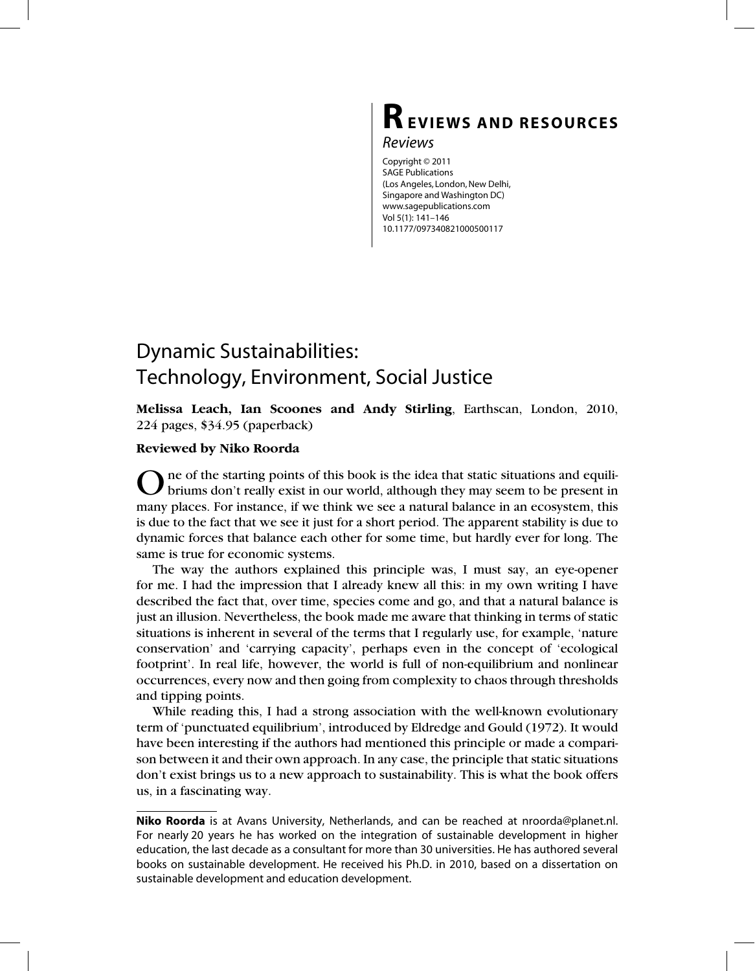# **REVIEWS AND RESOURCES**

*Reviews*

Copyright © 2011 SAGE Publications (Los Angeles, London, New Delhi, Singapore and Washington DC) www.sagepublications.com Vol 5(1): 141–146 10.1177/097340821000500117

## Dynamic Sustainabilities: Technology, Environment, Social Justice

**Melissa Leach, Ian Scoones and Andy Stirling**, Earthscan, London, 2010, 224 pages, \$34.95 (paperback)

#### **Reviewed by Niko Roorda**

One of the starting points of this book is the idea that static situations and equilibriums don't really exist in our world, although they may seem to be present in many places. For instance, if we think we see a natural balance in an ecosystem, this is due to the fact that we see it just for a short period. The apparent stability is due to dynamic forces that balance each other for some time, but hardly ever for long. The same is true for economic systems.

The way the authors explained this principle was, I must say, an eye-opener for me. I had the impression that I already knew all this: in my own writing I have described the fact that, over time, species come and go, and that a natural balance is just an illusion. Nevertheless, the book made me aware that thinking in terms of static situations is inherent in several of the terms that I regularly use, for example, 'nature conservation' and 'carrying capacity', perhaps even in the concept of 'ecological footprint'. In real life, however, the world is full of non-equilibrium and nonlinear occurrences, every now and then going from complexity to chaos through thresholds and tipping points.

While reading this, I had a strong association with the well-known evolutionary term of 'punctuated equilibrium', introduced by Eldredge and Gould (1972). It would have been interesting if the authors had mentioned this principle or made a comparison between it and their own approach. In any case, the principle that static situations don't exist brings us to a new approach to sustainability. This is what the book offers us, in a fascinating way.

**Niko Roorda** is at Avans University, Netherlands, and can be reached at nroorda@planet.nl. For nearly 20 years he has worked on the integration of sustainable development in higher education, the last decade as a consultant for more than 30 universities. He has authored several books on sustainable development. He received his Ph.D. in 2010, based on a dissertation on sustainable development and education development.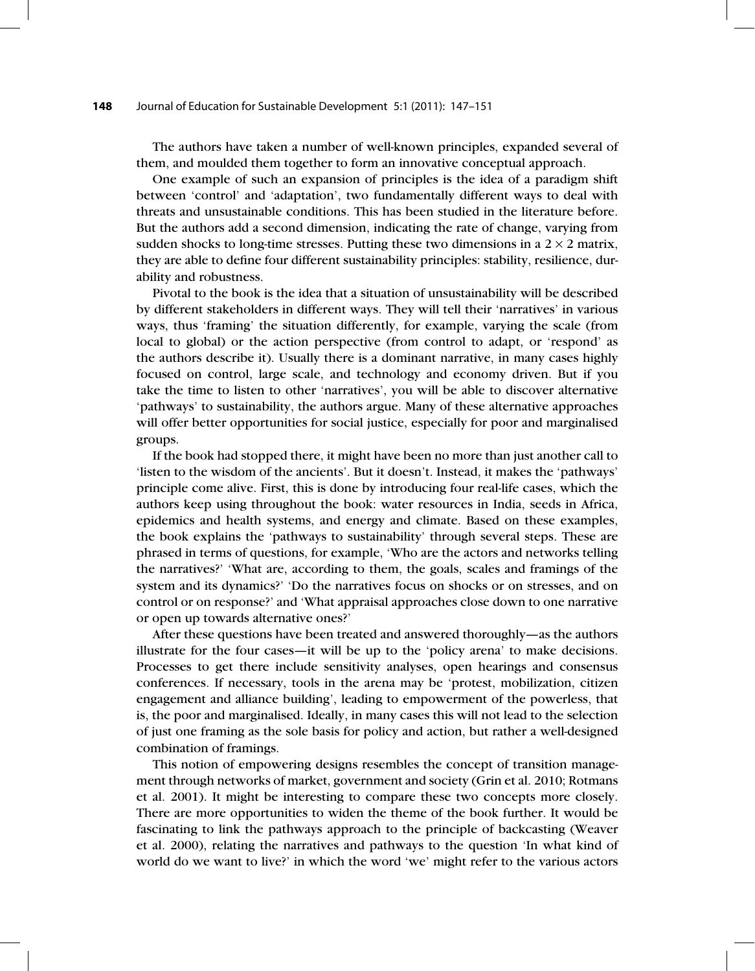The authors have taken a number of well-known principles, expanded several of them, and moulded them together to form an innovative conceptual approach.

One example of such an expansion of principles is the idea of a paradigm shift between 'control' and 'adaptation', two fundamentally different ways to deal with threats and unsustainable conditions. This has been studied in the literature before. But the authors add a second dimension, indicating the rate of change, varying from sudden shocks to long-time stresses. Putting these two dimensions in a  $2 \times 2$  matrix, they are able to define four different sustainability principles: stability, resilience, durability and robustness.

Pivotal to the book is the idea that a situation of unsustainability will be described by different stakeholders in different ways. They will tell their 'narratives' in various ways, thus 'framing' the situation differently, for example, varying the scale (from local to global) or the action perspective (from control to adapt, or 'respond' as the authors describe it). Usually there is a dominant narrative, in many cases highly focused on control, large scale, and technology and economy driven. But if you take the time to listen to other 'narratives', you will be able to discover alternative 'pathways' to sustainability, the authors argue. Many of these alternative approaches will offer better opportunities for social justice, especially for poor and marginalised groups.

If the book had stopped there, it might have been no more than just another call to 'listen to the wisdom of the ancients'. But it doesn't. Instead, it makes the 'pathways' principle come alive. First, this is done by introducing four real-life cases, which the authors keep using throughout the book: water resources in India, seeds in Africa, epidemics and health systems, and energy and climate. Based on these examples, the book explains the 'pathways to sustainability' through several steps. These are phrased in terms of questions, for example, 'Who are the actors and networks telling the narratives?' 'What are, according to them, the goals, scales and framings of the system and its dynamics?' 'Do the narratives focus on shocks or on stresses, and on control or on response?' and 'What appraisal approaches close down to one narrative or open up towards alternative ones?'

After these questions have been treated and answered thoroughly—as the authors illustrate for the four cases—it will be up to the 'policy arena' to make decisions. Processes to get there include sensitivity analyses, open hearings and consensus conferences. If necessary, tools in the arena may be 'protest, mobilization, citizen engagement and alliance building', leading to empowerment of the powerless, that is, the poor and marginalised. Ideally, in many cases this will not lead to the selection of just one framing as the sole basis for policy and action, but rather a well-designed combination of framings.

This notion of empowering designs resembles the concept of transition management through networks of market, government and society (Grin et al. 2010; Rotmans et al. 2001). It might be interesting to compare these two concepts more closely. There are more opportunities to widen the theme of the book further. It would be fascinating to link the pathways approach to the principle of backcasting (Weaver et al. 2000), relating the narratives and pathways to the question 'In what kind of world do we want to live?' in which the word 'we' might refer to the various actors